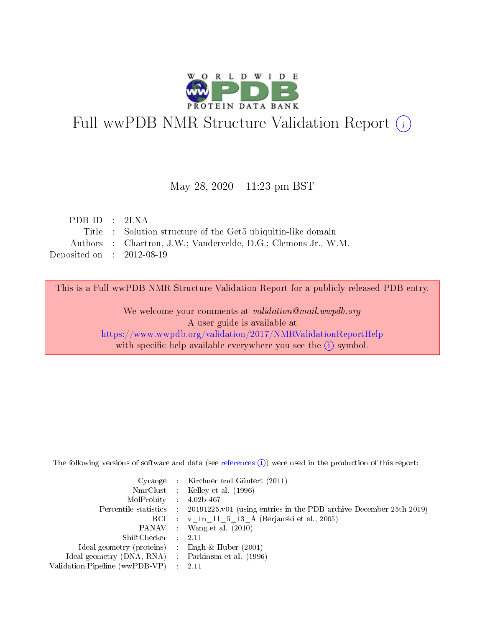

# Full wwPDB NMR Structure Validation Report (i)

### May 28,  $2020 - 11:23$  pm BST

| PDB ID : $2\text{LXA}$               |                                                                |
|--------------------------------------|----------------------------------------------------------------|
|                                      | Title : Solution structure of the Get5 ubiquitin-like domain   |
|                                      | Authors : Chartron, J.W.; Vandervelde, D.G.; Clemons Jr., W.M. |
| Deposited on $\therefore$ 2012-08-19 |                                                                |

This is a Full wwPDB NMR Structure Validation Report for a publicly released PDB entry.

We welcome your comments at *validation@mail.wwpdb.org* A user guide is available at <https://www.wwpdb.org/validation/2017/NMRValidationReportHelp> with specific help available everywhere you see the  $(i)$  symbol.

The following versions of software and data (see [references](https://www.wwpdb.org/validation/2017/NMRValidationReportHelp#references)  $(1)$ ) were used in the production of this report:

|                                                    | Cyrange : Kirchner and Güntert $(2011)$                                                    |
|----------------------------------------------------|--------------------------------------------------------------------------------------------|
|                                                    | NmrClust : Kelley et al. (1996)                                                            |
| $MolProbability$ 4.02b-467                         |                                                                                            |
|                                                    | Percentile statistics : 20191225.v01 (using entries in the PDB archive December 25th 2019) |
|                                                    | RCI : v 1n 11 5 13 A (Berjanski et al., 2005)                                              |
|                                                    | PANAV Wang et al. (2010)                                                                   |
| $ShiftChecker$ : 2.11                              |                                                                                            |
| Ideal geometry (proteins) : Engh $\&$ Huber (2001) |                                                                                            |
| Ideal geometry (DNA, RNA) Parkinson et al. (1996)  |                                                                                            |
| Validation Pipeline (wwPDB-VP)                     | 2.11                                                                                       |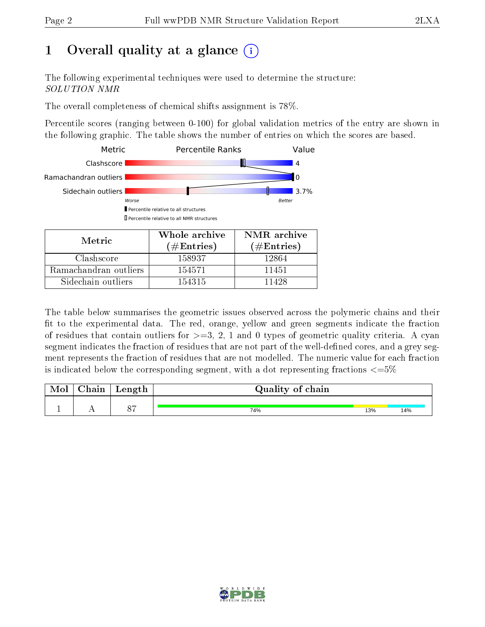# 1 [O](https://www.wwpdb.org/validation/2017/NMRValidationReportHelp#overall_quality)verall quality at a glance (i)

The following experimental techniques were used to determine the structure: SOLUTION NMR

The overall completeness of chemical shifts assignment is 78%.

Percentile scores (ranging between 0-100) for global validation metrics of the entry are shown in the following graphic. The table shows the number of entries on which the scores are based.



The table below summarises the geometric issues observed across the polymeric chains and their fit to the experimental data. The red, orange, yellow and green segments indicate the fraction of residues that contain outliers for  $>=3, 2, 1$  and 0 types of geometric quality criteria. A cyan segment indicates the fraction of residues that are not part of the well-defined cores, and a grey segment represents the fraction of residues that are not modelled. The numeric value for each fraction is indicated below the corresponding segment, with a dot representing fractions  $\epsilon = 5\%$ 

| <b>NIOI</b> | ${\rm Chain}$ | Length        | Quality of chain |     |     |
|-------------|---------------|---------------|------------------|-----|-----|
|             |               |               |                  |     |     |
|             |               | $\cap$ $\Box$ | 74%              | 13% | 14% |

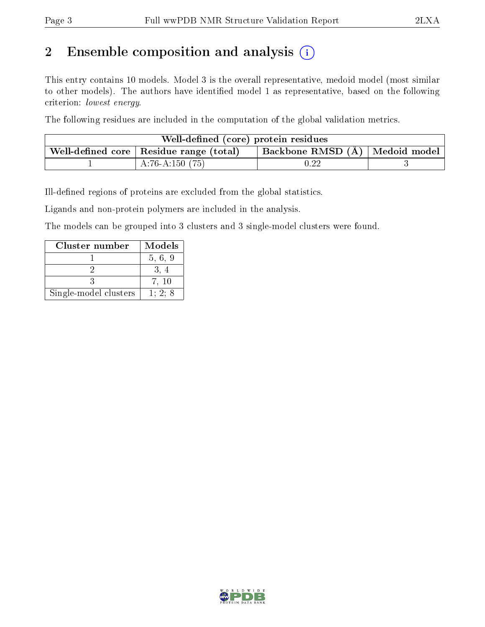# 2 Ensemble composition and analysis  $(i)$

This entry contains 10 models. Model 3 is the overall representative, medoid model (most similar to other models). The authors have identified model 1 as representative, based on the following criterion: lowest energy.

The following residues are included in the computation of the global validation metrics.

| Well-defined (core) protein residues                                                  |                   |            |  |  |  |  |  |  |  |
|---------------------------------------------------------------------------------------|-------------------|------------|--|--|--|--|--|--|--|
| Backbone RMSD (Å)   Medoid model  <br>Well-defined core $\vert$ Residue range (total) |                   |            |  |  |  |  |  |  |  |
|                                                                                       | A:76-A:150 $(75)$ | $\rm 0.22$ |  |  |  |  |  |  |  |

Ill-defined regions of proteins are excluded from the global statistics.

Ligands and non-protein polymers are included in the analysis.

The models can be grouped into 3 clusters and 3 single-model clusters were found.

| Cluster number        | <b>Models</b> |
|-----------------------|---------------|
|                       | 5, 6, 9       |
|                       |               |
|                       | 7.10          |
| Single-model clusters | 1:2:8         |

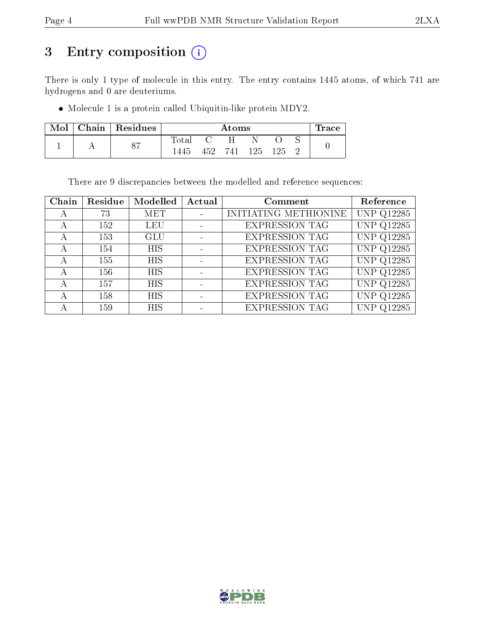# 3 Entry composition (i)

There is only 1 type of molecule in this entry. The entry contains 1445 atoms, of which 741 are hydrogens and 0 are deuteriums.

Molecule 1 is a protein called Ubiquitin-like protein MDY2.

| Mol | Chain   Residues        |       | $\rm{Atoms}$ |     |      |     |  |  |  |  |  |  |
|-----|-------------------------|-------|--------------|-----|------|-----|--|--|--|--|--|--|
|     | $\Omega$ $\overline{z}$ | Total |              |     |      |     |  |  |  |  |  |  |
|     |                         | 1445  | 452          | 741 | 125. | 125 |  |  |  |  |  |  |

There are 9 discrepancies between the modelled and reference sequences:

| Chain | Residue | Modelled   | Actual | Comment               | Reference         |
|-------|---------|------------|--------|-----------------------|-------------------|
|       | 73      | MET        |        | INITIATING METHIONINE | <b>UNP Q12285</b> |
|       | 152     | LEU        |        | <b>EXPRESSION TAG</b> | <b>UNP Q12285</b> |
| А     | 153     | <b>GLU</b> |        | <b>EXPRESSION TAG</b> | <b>UNP Q12285</b> |
| А     | 154     | <b>HIS</b> |        | <b>EXPRESSION TAG</b> | <b>UNP Q12285</b> |
|       | 155     | <b>HIS</b> |        | <b>EXPRESSION TAG</b> | <b>UNP Q12285</b> |
|       | 156     | <b>HIS</b> |        | <b>EXPRESSION TAG</b> | <b>UNP Q12285</b> |
|       | 157     | <b>HIS</b> |        | <b>EXPRESSION TAG</b> | <b>UNP Q12285</b> |
|       | 158     | <b>HIS</b> |        | <b>EXPRESSION TAG</b> | <b>UNP Q12285</b> |
|       | 159     | <b>HIS</b> |        | <b>EXPRESSION TAG</b> | <b>UNP Q12285</b> |

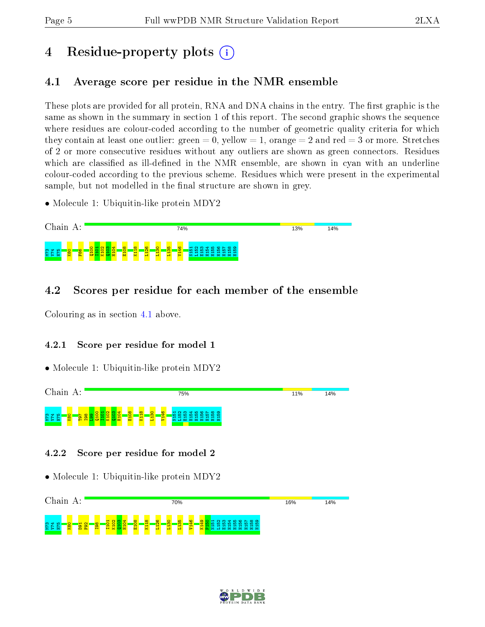# 4 Residue-property plots  $\binom{1}{1}$

## <span id="page-4-0"></span>4.1 Average score per residue in the NMR ensemble

These plots are provided for all protein, RNA and DNA chains in the entry. The first graphic is the same as shown in the summary in section 1 of this report. The second graphic shows the sequence where residues are colour-coded according to the number of geometric quality criteria for which they contain at least one outlier: green  $= 0$ , yellow  $= 1$ , orange  $= 2$  and red  $= 3$  or more. Stretches of 2 or more consecutive residues without any outliers are shown as green connectors. Residues which are classified as ill-defined in the NMR ensemble, are shown in cyan with an underline colour-coded according to the previous scheme. Residues which were present in the experimental sample, but not modelled in the final structure are shown in grey.

• Molecule 1: Ubiquitin-like protein MDY2



## 4.2 Scores per residue for each member of the ensemble

Colouring as in section [4.1](#page-4-0) above.

### 4.2.1 Score per residue for model 1

• Molecule 1: Ubiquitin-like protein MDY2



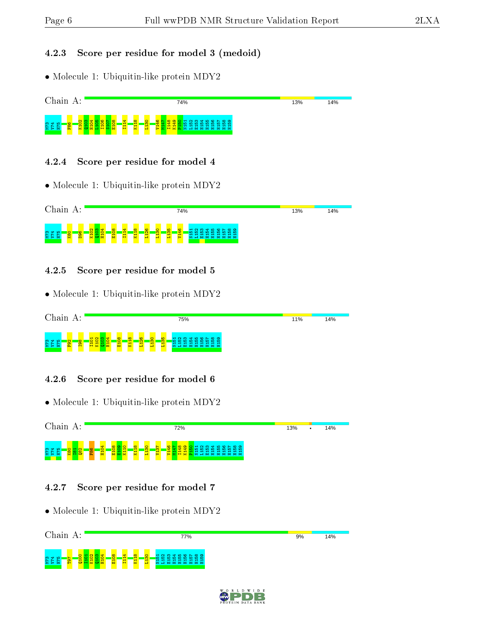#### 4.2.3 Score per residue for model 3 (medoid)

• Molecule 1: Ubiquitin-like protein MDY2



#### 4.2.4 Score per residue for model 4

• Molecule 1: Ubiquitin-like protein MDY2



### 4.2.5 Score per residue for model 5

• Molecule 1: Ubiquitin-like protein MDY2



### 4.2.6 Score per residue for model 6

• Molecule 1: Ubiquitin-like protein MDY2



### 4.2.7 Score per residue for model 7

• Molecule 1: Ubiquitin-like protein MDY2



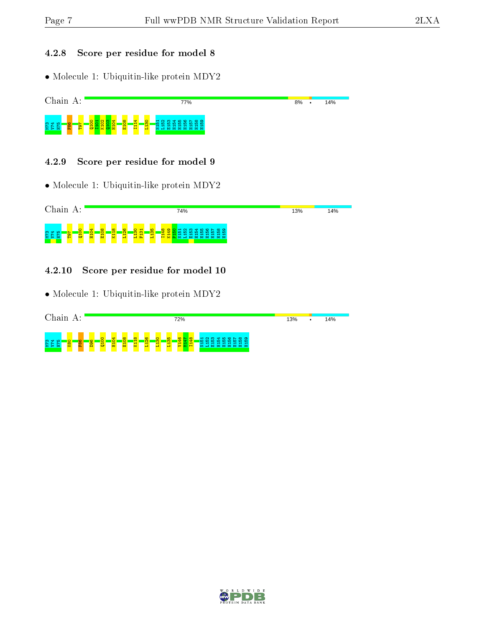### 4.2.8 Score per residue for model 8

• Molecule 1: Ubiquitin-like protein MDY2



### 4.2.9 Score per residue for model 9

• Molecule 1: Ubiquitin-like protein MDY2



### 4.2.10 Score per residue for model 10

• Molecule 1: Ubiquitin-like protein MDY2

| Chain<br>А:                     |                          |                          |                   |                          |                     |                              |                              |                      | 72%                                      |        |                  |                                                              |   |                 |  | 13% | ٠ | 14% |  |
|---------------------------------|--------------------------|--------------------------|-------------------|--------------------------|---------------------|------------------------------|------------------------------|----------------------|------------------------------------------|--------|------------------|--------------------------------------------------------------|---|-----------------|--|-----|---|-----|--|
| <b>SZE</b><br>PZA<br><b>K80</b> | a <mark>gg</mark><br>F86 | o<br>ia.<br>$\mathbf{C}$ | 4<br>$\circ$<br>面 | $\infty$<br>$\circ$<br>풉 | $\infty$<br>Ħ,<br>불 | G<br>$\overline{\mathbf{N}}$ | $\circ$<br>$\mathbf{m}$<br>븝 | $\frac{16}{56}$<br>둅 | $rac{1}{95}$<br><mark>等</mark><br>⊣<br>− | $\sim$ | ന<br>-10.<br>-14 | ਚਾ<br>הו<br>-10.<br>חו<br>$\overline{\phantom{a}}$<br>富富富富富富 | ം | മത<br>- 10<br>− |  |     |   |     |  |

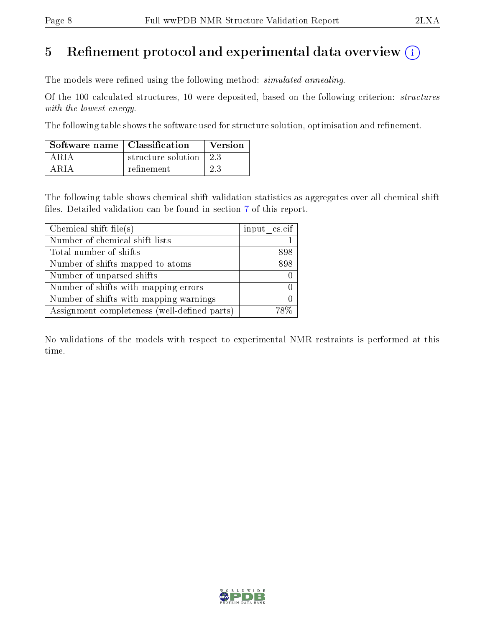## 5 Refinement protocol and experimental data overview  $\binom{1}{k}$

The models were refined using the following method: *simulated annealing*.

Of the 100 calculated structures, 10 were deposited, based on the following criterion: structures with the lowest energy.

The following table shows the software used for structure solution, optimisation and refinement.

| Software name $\vert$ Classification |                      | Version |
|--------------------------------------|----------------------|---------|
| A R I A                              | structure solution 1 | 23      |
| A R I A                              | refinement           | 23      |

The following table shows chemical shift validation statistics as aggregates over all chemical shift files. Detailed validation can be found in section [7](#page-11-0) of this report.

| Chemical shift file(s)                       | input cs.cif |
|----------------------------------------------|--------------|
| Number of chemical shift lists               |              |
| Total number of shifts                       | 898          |
| Number of shifts mapped to atoms             | 898          |
| Number of unparsed shifts                    |              |
| Number of shifts with mapping errors         |              |
| Number of shifts with mapping warnings       |              |
| Assignment completeness (well-defined parts) |              |

No validations of the models with respect to experimental NMR restraints is performed at this time.

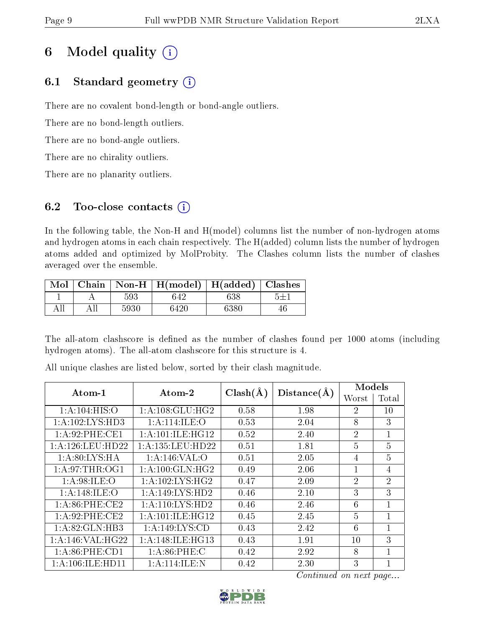# 6 Model quality  $(i)$

## 6.1 Standard geometry  $(i)$

There are no covalent bond-length or bond-angle outliers.

There are no bond-length outliers.

There are no bond-angle outliers.

There are no chirality outliers.

There are no planarity outliers.

## 6.2 Too-close contacts  $(i)$

In the following table, the Non-H and H(model) columns list the number of non-hydrogen atoms and hydrogen atoms in each chain respectively. The H(added) column lists the number of hydrogen atoms added and optimized by MolProbity. The Clashes column lists the number of clashes averaged over the ensemble.

|    |      | Mol   Chain   Non-H   H(model)   H(added)   Clashes |      |  |
|----|------|-----------------------------------------------------|------|--|
|    | 593  | 642                                                 | 638  |  |
| AH | 5930 | 6420                                                | 6380 |  |

The all-atom clashscore is defined as the number of clashes found per 1000 atoms (including hydrogen atoms). The all-atom clashscore for this structure is 4.

| $Atom-1$              | Atom-2                          | $Clash(\AA)$ | Distance(A) | Models         |                |  |  |
|-----------------------|---------------------------------|--------------|-------------|----------------|----------------|--|--|
|                       |                                 |              |             | Worst          | Total          |  |  |
| 1: A: 104: HIS: O     | 1: A: 108: GLU: HG2             | 0.58         | 1.98        | $\overline{2}$ | $10\,$         |  |  |
| 1:A:102:LYS:HD3       | 1:A:114:ILE:O                   | 0.53         | 2.04        | 8              | 3              |  |  |
| 1: A:92: PHE:CE1      | 1: A:101: ILE:HG12              | 0.52         | 2.40        | $\overline{2}$ | $\mathbf{1}$   |  |  |
| 1: A: 126: LEU: HD22  | 1: A: 135: LEU: HD22            | 0.51         | 1.81        | $\overline{5}$ | $\overline{5}$ |  |  |
| 1: A:80: LYS: HA      | 1: A:146: VAL:O                 | 0.51         | 2.05        | 4              | $\overline{5}$ |  |  |
| 1: A:97:THR:OG1       | 1: A:100: GLN: HG2              | 0.49         | 2.06        | 1              | 4              |  |  |
| 1: A:98: ILE: O       | $1: A:102: LYS: \overline{HG2}$ | 0.47         | 2.09        | $\overline{2}$ | $\overline{2}$ |  |  |
| 1:A:148:ILE:O         | 1:A:149:LYS:HD2                 | 0.46         | 2.10        | 3              | 3              |  |  |
| $1: A:86:$ PHE: $CE2$ | $1:A:110:LYS:\overline{HD2}$    | 0.46         | 2.46        | 6              | $\mathbf{1}$   |  |  |
| 1: A:92:PHE:CE2       | 1: A:101: ILE: HG12             | 0.45         | 2.45        | $\overline{5}$ | $\mathbf{1}$   |  |  |
| 1:A:82:GLN:HB3        | 1: A: 149: LYS: CD              | 0.43         | 2.42        | 6              | $\mathbf{1}$   |  |  |
| 1:A:146:VAL:HG22      | 1: A:148: ILE: HG13             | 0.43         | 1.91        | 10             | 3              |  |  |
| 1: A:86:PHE:CD1       | 1: A:86:PHE: C                  | 0.42         | 2.92        | 8              | $\mathbf{1}$   |  |  |
| 1: A: 106: ILE: HD11  | 1: A:114: ILE:N                 | 0.42         | 2.30        | 3              | $\mathbf{1}$   |  |  |

All unique clashes are listed below, sorted by their clash magnitude.

Continued on next page...

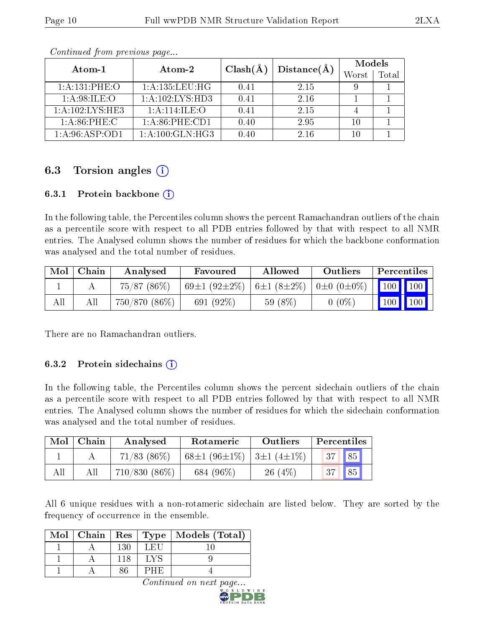|                     | Atom-2             | $Clash(\AA)$ |      | Models |       |
|---------------------|--------------------|--------------|------|--------|-------|
| Atom-1              |                    | Distance(A)  |      | Worst  | Total |
| 1: A:131: PHE:O     | 1: A: 135: LEU: HG | 0.41         | 2.15 |        |       |
| 1: A:98: ILE: O     | 1:A:102:LYS:HD3    | 0.41         | 2.16 |        |       |
| 1: A: 102: LYS: HE3 | 1: A:114: ILE: O   | 0.41         | 2.15 |        |       |
| 1: A:86:PHE:C       | 1: A:86:PHE:CD1    | 0.40         | 2.95 | 10     |       |
| 1: A:96: ASP:OD1    | 1: A:100: GLN: HG3 | 0.40         | 2.16 | 10     |       |

Continued from previous page...

## 6.3 Torsion angles  $(i)$

#### 6.3.1 Protein backbone  $(i)$

In the following table, the Percentiles column shows the percent Ramachandran outliers of the chain as a percentile score with respect to all PDB entries followed by that with respect to all NMR entries. The Analysed column shows the number of residues for which the backbone conformation was analysed and the total number of residues.

| Mol | Chain | Analysed      | Favoured                  | Allowed          | Outliers                | Percentiles                                 |           |
|-----|-------|---------------|---------------------------|------------------|-------------------------|---------------------------------------------|-----------|
|     |       | 75/87 (86%)   | 69 $\pm$ 1 (92 $\pm$ 2\%) | $6\pm1(8\pm2\%)$ | $0 \pm 0$ $(0 \pm 0\%)$ | $\parallel$ 100 $\parallel$ 100 $\parallel$ |           |
| All |       | 750/870 (86%) | 691 $(92\%)$              | 59 $(8\%)$       | $0\,\,(0\%)$            |                                             | $100$ 100 |

There are no Ramachandran outliers.

#### 6.3.2 Protein sidechains (i)

In the following table, the Percentiles column shows the percent sidechain outliers of the chain as a percentile score with respect to all PDB entries followed by that with respect to all NMR entries. The Analysed column shows the number of residues for which the sidechain conformation was analysed and the total number of residues.

| Mol | Chain | Analysed         | Rotameric                                           | Outliers  | Percentiles                    |
|-----|-------|------------------|-----------------------------------------------------|-----------|--------------------------------|
|     |       | $71/83$ $(86\%)$ | 68 $\pm$ 1 (96 $\pm$ 1\%)   3 $\pm$ 1 (4 $\pm$ 1\%) |           | $\sqrt{85}$<br>37 <sup>1</sup> |
| All |       | $710/830(86\%)$  | 684 (96%)                                           | $26(4\%)$ | 85 <sup>1</sup><br>37          |

All 6 unique residues with a non-rotameric sidechain are listed below. They are sorted by the frequency of occurrence in the ensemble.

|  |     |     | Mol   Chain   Res   Type   Models (Total) |
|--|-----|-----|-------------------------------------------|
|  | 130 | LEU |                                           |
|  | 118 |     |                                           |
|  |     | ノ目上 |                                           |

Continued on next page.

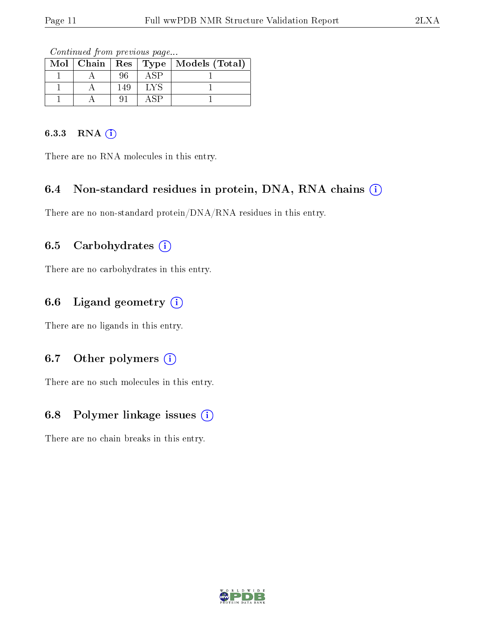Continued from previous page...

|  |     |             | Mol   Chain   Res   Type   Models (Total) |
|--|-----|-------------|-------------------------------------------|
|  | 96  | $\Delta$ SP |                                           |
|  | 149 | LYS         |                                           |
|  |     | . SP.       |                                           |

### 6.3.3 RNA [O](https://www.wwpdb.org/validation/2017/NMRValidationReportHelp#rna)i

There are no RNA molecules in this entry.

### 6.4 Non-standard residues in protein, DNA, RNA chains (i)

There are no non-standard protein/DNA/RNA residues in this entry.

### 6.5 Carbohydrates (i)

There are no carbohydrates in this entry.

### 6.6 Ligand geometry (i)

There are no ligands in this entry.

### 6.7 [O](https://www.wwpdb.org/validation/2017/NMRValidationReportHelp#nonstandard_residues_and_ligands)ther polymers (i)

There are no such molecules in this entry.

### 6.8 Polymer linkage issues  $(i)$

There are no chain breaks in this entry.

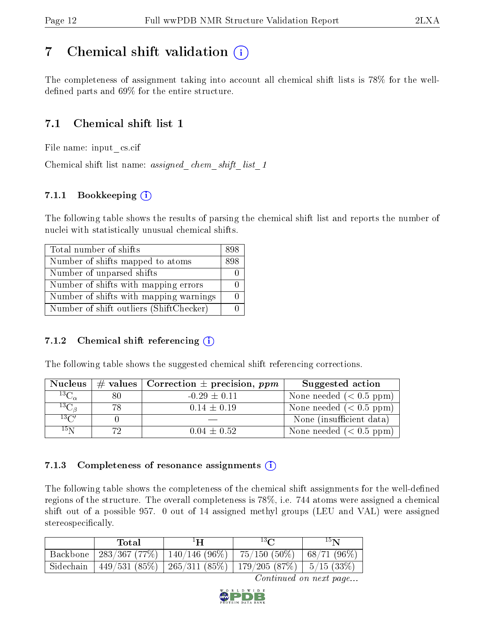## <span id="page-11-0"></span>7 Chemical shift validation  $\left( \begin{array}{c} \overline{1} \end{array} \right)$

The completeness of assignment taking into account all chemical shift lists is 78% for the welldefined parts and  $69\%$  for the entire structure.

## 7.1 Chemical shift list 1

File name: input\_cs.cif

Chemical shift list name: *assigned\_chem\_shift\_list\_1* 

### 7.1.1 Bookkeeping (i)

The following table shows the results of parsing the chemical shift list and reports the number of nuclei with statistically unusual chemical shifts.

| Total number of shifts                  | 898 |
|-----------------------------------------|-----|
| Number of shifts mapped to atoms        | 898 |
| Number of unparsed shifts               |     |
| Number of shifts with mapping errors    |     |
| Number of shifts with mapping warnings  |     |
| Number of shift outliers (ShiftChecker) |     |

### 7.1.2 Chemical shift referencing  $(i)$

The following table shows the suggested chemical shift referencing corrections.

| <b>Nucleus</b>                        |     | # values   Correction $\pm$ precision, ppm | Suggested action         |
|---------------------------------------|-----|--------------------------------------------|--------------------------|
| $^{13}\overline{\mathrm{C}_{\alpha}}$ | 80  | $-0.29 \pm 0.11$                           | None needed $(0.5 ppm)$  |
| ${}^{13}C_{\beta}$                    | 78  | $0.14 \pm 0.19$                            | None needed $(0.5 ppm)$  |
| $13\text{C}$                          |     |                                            | None (insufficient data) |
| $15\,\mathrm{N}$                      | 79. | $0.04 \pm 0.52$                            | None needed $(0.5 ppm)$  |

### 7.1.3 Completeness of resonance assignments  $(i)$

The following table shows the completeness of the chemical shift assignments for the well-defined regions of the structure. The overall completeness is 78%, i.e. 744 atoms were assigned a chemical shift out of a possible 957. 0 out of 14 assigned methyl groups (LEU and VAL) were assigned stereospecifically.

| Total | $^1$ H                                                                 | $13\Omega$ | 15 <sub>N</sub> |
|-------|------------------------------------------------------------------------|------------|-----------------|
|       | Backbone   283/367 (77%)   140/146 (96%)   75/150 (50%)                |            | $ 68/71(96\%)$  |
|       | Sidechain   449/531 (85%)   265/311 (85%)   179/205 (87%)   5/15 (33%) |            |                 |

Continued on next page...